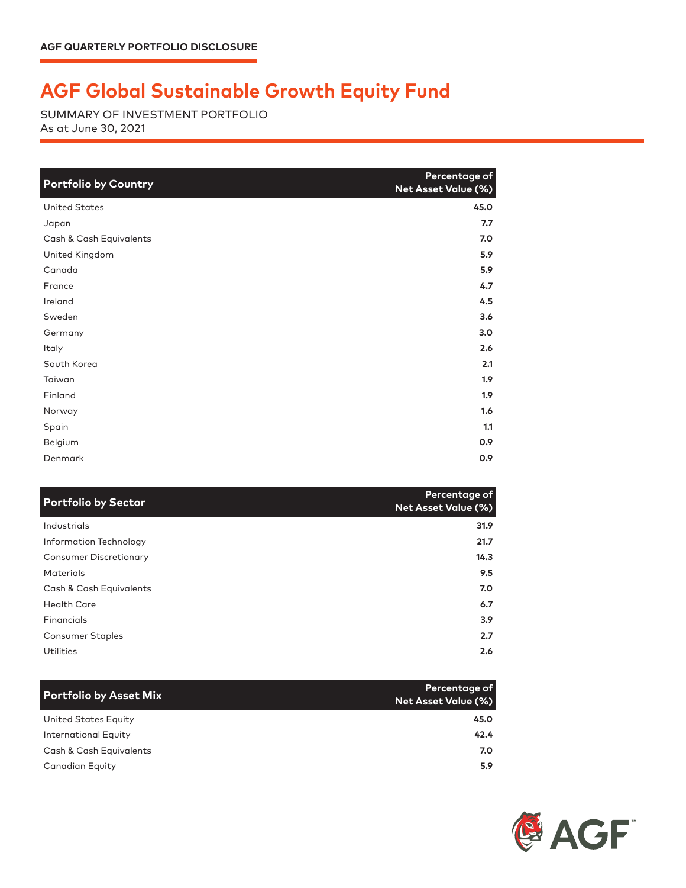## **AGF Global Sustainable Growth Equity Fund**

SUMMARY OF INVESTMENT PORTFOLIO As at June 30, 2021

| <b>Portfolio by Country</b> | Percentage of<br><b>Net Asset Value (%)</b> |
|-----------------------------|---------------------------------------------|
| <b>United States</b>        | 45.0                                        |
| Japan                       | 7.7                                         |
| Cash & Cash Equivalents     | 7.0                                         |
| United Kingdom              | 5.9                                         |
| Canada                      | 5.9                                         |
| France                      | 4.7                                         |
| Ireland                     | 4.5                                         |
| Sweden                      | 3.6                                         |
| Germany                     | 3.0                                         |
| Italy                       | 2.6                                         |
| South Korea                 | 2.1                                         |
| Taiwan                      | 1.9 <sup>2</sup>                            |
| Finland                     | 1.9                                         |
| Norway                      | 1.6                                         |
| Spain                       | 1.1                                         |
| Belgium                     | 0.9                                         |
| Denmark                     | 0.9                                         |

| <b>Portfolio by Sector</b>    | Percentage of<br><b>Net Asset Value (%)</b> |
|-------------------------------|---------------------------------------------|
| Industrials                   | 31.9                                        |
| Information Technology        | 21.7                                        |
| <b>Consumer Discretionary</b> | 14.3                                        |
| <b>Materials</b>              | 9.5                                         |
| Cash & Cash Equivalents       | 7.0                                         |
| <b>Health Care</b>            | 6.7                                         |
| Financials                    | 3.9 <sup>°</sup>                            |
| Consumer Staples              | 2.7                                         |
| <b>Utilities</b>              | 2.6                                         |

| <b>Portfolio by Asset Mix</b> | Percentage of<br><b>Net Asset Value (%)</b> |
|-------------------------------|---------------------------------------------|
| United States Equity          | 45.0                                        |
| <b>International Equity</b>   | 42.4                                        |
| Cash & Cash Equivalents       | 7.0                                         |
| <b>Canadian Equity</b>        | 5.9                                         |